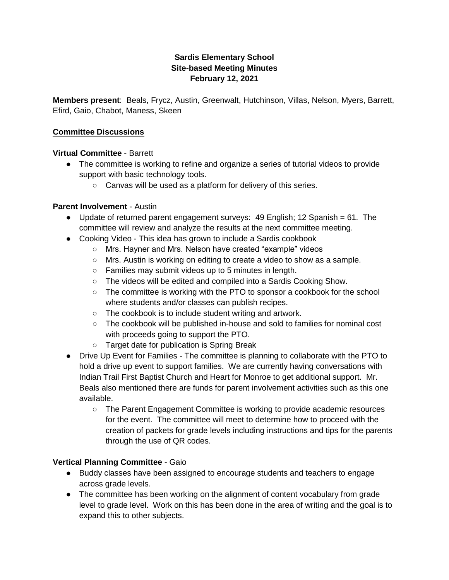# **Sardis Elementary School Site-based Meeting Minutes February 12, 2021**

**Members present**: Beals, Frycz, Austin, Greenwalt, Hutchinson, Villas, Nelson, Myers, Barrett, Efird, Gaio, Chabot, Maness, Skeen

### **Committee Discussions**

### **Virtual Committee** - Barrett

- The committee is working to refine and organize a series of tutorial videos to provide support with basic technology tools.
	- Canvas will be used as a platform for delivery of this series.

#### **Parent Involvement** - Austin

- Update of returned parent engagement surveys: 49 English; 12 Spanish = 61. The committee will review and analyze the results at the next committee meeting.
- Cooking Video This idea has grown to include a Sardis cookbook
	- Mrs. Hayner and Mrs. Nelson have created "example" videos
	- Mrs. Austin is working on editing to create a video to show as a sample.
	- Families may submit videos up to 5 minutes in length.
	- The videos will be edited and compiled into a Sardis Cooking Show.
	- $\circ$  The committee is working with the PTO to sponsor a cookbook for the school where students and/or classes can publish recipes.
	- The cookbook is to include student writing and artwork.
	- The cookbook will be published in-house and sold to families for nominal cost with proceeds going to support the PTO.
	- Target date for publication is Spring Break
- Drive Up Event for Families The committee is planning to collaborate with the PTO to hold a drive up event to support families. We are currently having conversations with Indian Trail First Baptist Church and Heart for Monroe to get additional support. Mr. Beals also mentioned there are funds for parent involvement activities such as this one available.
	- The Parent Engagement Committee is working to provide academic resources for the event. The committee will meet to determine how to proceed with the creation of packets for grade levels including instructions and tips for the parents through the use of QR codes.

#### **Vertical Planning Committee** - Gaio

- Buddy classes have been assigned to encourage students and teachers to engage across grade levels.
- The committee has been working on the alignment of content vocabulary from grade level to grade level. Work on this has been done in the area of writing and the goal is to expand this to other subjects.